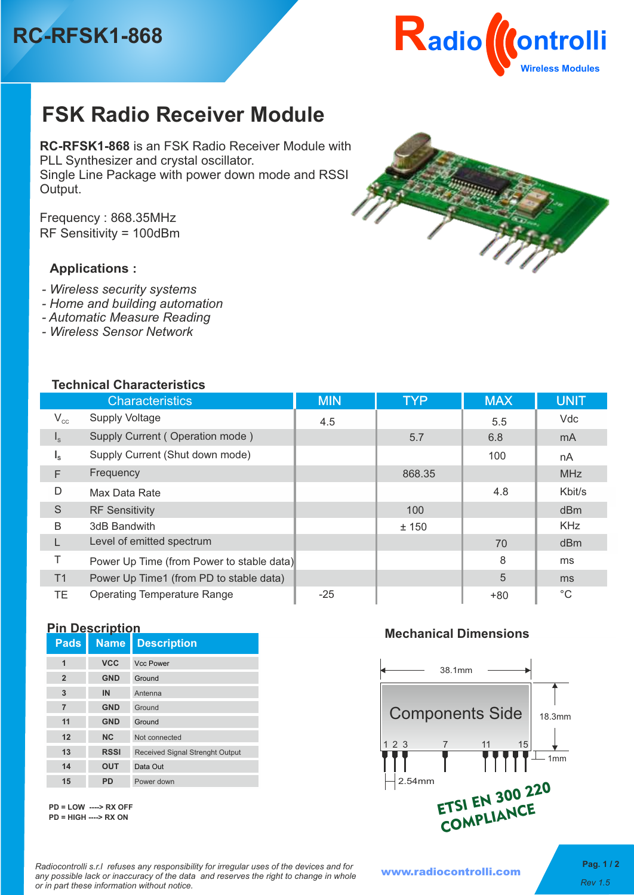# **RC-RFSK1-868**



# **FSK Radio Receiver Module**

**RC-RFSK1-868** is an FSK Radio Receiver Module with PLL Synthesizer and crystal oscillator. Single Line Package with power down mode and RSSI Output.

RF Sensitivity = 100dBm Frequency : 868.35MHz

### **Applications :**

- *Wireless security systems*
- *Home and building automation*
- *Automatic Measure Reading*
- *Wireless Sensor Network*

#### **Technical Characteristics**

| 1661111681 01181 8661 13663 |                                           |            |            |            |                |  |
|-----------------------------|-------------------------------------------|------------|------------|------------|----------------|--|
|                             | <b>Characteristics</b>                    | <b>MIN</b> | <b>TYP</b> | <b>MAX</b> | <b>UNIT</b>    |  |
| $V_{cc}$                    | <b>Supply Voltage</b>                     | 4.5        |            | 5.5        | Vdc            |  |
| $\vert$ <sub>s</sub>        | Supply Current (Operation mode)           |            | 5.7        | 6.8        | m <sub>A</sub> |  |
| $I_{\rm s}$                 | Supply Current (Shut down mode)           |            |            | 100        | nA             |  |
| F                           | Frequency                                 |            | 868.35     |            | <b>MHz</b>     |  |
| D                           | Max Data Rate                             |            |            | 4.8        | Kbit/s         |  |
| S                           | <b>RF Sensitivity</b>                     |            | 100        |            | dBm            |  |
| B                           | 3dB Bandwith                              |            | ± 150      |            | <b>KHz</b>     |  |
|                             | Level of emitted spectrum                 |            |            | 70         | dBm            |  |
| Τ                           | Power Up Time (from Power to stable data) |            |            | 8          | ms             |  |
| T1                          | Power Up Time1 (from PD to stable data)   |            |            | 5          | m <sub>s</sub> |  |
| TE.                         | <b>Operating Temperature Range</b>        | $-25$      |            | $+80$      | $^{\circ}C$    |  |

#### **Pin Description**

| <b>Pads</b>    | . .<br><b>Name</b> | <b>Description</b>                     |
|----------------|--------------------|----------------------------------------|
| 1              | <b>VCC</b>         | <b>Vcc Power</b>                       |
| $\overline{2}$ | <b>GND</b>         | Ground                                 |
| 3              | IN                 | Antenna                                |
| $\overline{7}$ | <b>GND</b>         | Ground                                 |
| 11             | <b>GND</b>         | Ground                                 |
| 12             | <b>NC</b>          | Not connected                          |
| 13             | <b>RSSI</b>        | <b>Received Signal Strenght Output</b> |
| 14             | <b>OUT</b>         | Data Out                               |
| 15             | PD                 | Power down                             |

**PD = LOW ----> RX OFF PD = HIGH ----> RX ON**

#### **Mechanical Dimensions**



*Radiocontrolli s.r.l refuses any responsibility for irregular uses of the devices and for any possible lack or inaccuracy of the data and reserves the right to change in whole or in part these information without notice.**Rev 1.5*